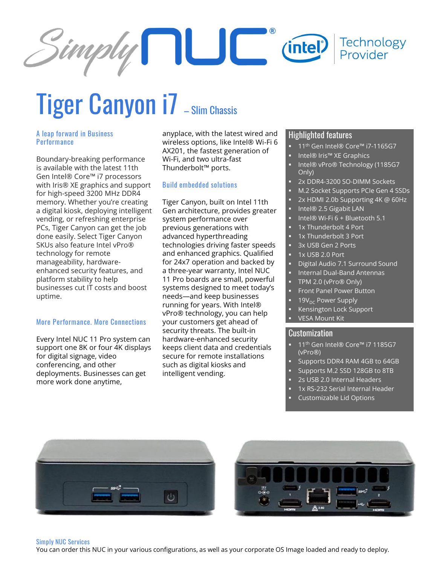

# Tiger Canyon i7 - Slim Chassis

# **A leap forward in Business Performance**

Boundary-breaking performance is available with the latest 11th Gen Intel® Core™ i7 processors with Iris® XE graphics and support for high-speed 3200 MHz DDR4 memory. Whether you're creating a digital kiosk, deploying intelligent vending, or refreshing enterprise PCs, Tiger Canyon can get the job done easily. Select Tiger Canyon SKUs also feature Intel vPro® technology for remote manageability, hardwareenhanced security features, and platform stability to help businesses cut IT costs and boost uptime.

# **More Performance. More Connections**

Every Intel NUC 11 Pro system can support one 8K or four 4K displays for digital signage, video conferencing, and other deployments. Businesses can get more work done anytime,

anyplace, with the latest wired and wireless options, like Intel® Wi-Fi 6 AX201, the fastest generation of Wi-Fi, and two ultra-fast Thunderbolt™ ports.

# **Build embedded solutions**

Tiger Canyon, built on Intel 11th Gen architecture, provides greater system performance over previous generations with advanced hyperthreading technologies driving faster speeds and enhanced graphics. Qualified for 24x7 operation and backed by a three-year warranty, Intel NUC 11 Pro boards are small, powerful systems designed to meet today's needs—and keep businesses running for years. With Intel® vPro® technology, you can help your customers get ahead of security threats. The built-in hardware-enhanced security keeps client data and credentials secure for remote installations such as digital kiosks and intelligent vending.

# Highlighted features

- 11<sup>th</sup> Gen Intel® Core™ i7-1165G7
- Intel® Iris™ XE Graphics
- Intel® vPro® Technology (1185G7 Only)
- 2x DDR4-3200 SO-DIMM Sockets
- M.2 Socket Supports PCIe Gen 4 SSDs
- 2x HDMI 2.0b Supporting 4K @ 60Hz
- Intel® 2.5 Gigabit LAN
- Intel® Wi-Fi 6 + Bluetooth 5.1
- 1x Thunderbolt 4 Port
- 1x Thunderbolt 3 Port
- 3x USB Gen 2 Ports
- $\overline{1}$  1x USB 2.0 Port
- Digital Audio 7.1 Surround Sound
- Internal Dual-Band Antennas
- TPM 2.0 (vPro® Only)
- Front Panel Power Button
- 19V<sub>DC</sub> Power Supply
- Kensington Lock Support VESA Mount Kit

# Customization

- 11<sup>th</sup> Gen Intel® Core<sup>™</sup> i7 1185G7 (vPro®)
- Supports DDR4 RAM 4GB to 64GB
- **E** Supports M.2 SSD 128GB to 8TB
- 2s USB 2.0 Internal Headers
- 1x RS-232 Serial Internal Header
- Customizable Lid Options





#### **Simply NUC Services**

You can order this NUC in your various configurations, as well as your corporate OS Image loaded and ready to deploy.